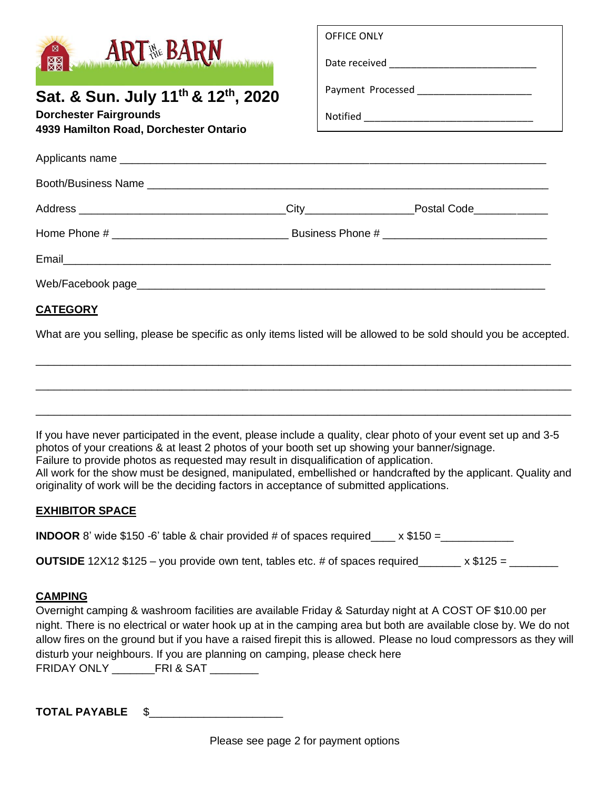|                                                                                                                                                                                                                                                                                                                                                                                                                         | OFFICE ONLY |  |  |
|-------------------------------------------------------------------------------------------------------------------------------------------------------------------------------------------------------------------------------------------------------------------------------------------------------------------------------------------------------------------------------------------------------------------------|-------------|--|--|
| <b>ARTHE BARN</b>                                                                                                                                                                                                                                                                                                                                                                                                       |             |  |  |
| Sat. & Sun. July 11 <sup>th</sup> & 12 <sup>th</sup> , 2020                                                                                                                                                                                                                                                                                                                                                             |             |  |  |
| <b>Dorchester Fairgrounds</b><br>4939 Hamilton Road, Dorchester Ontario                                                                                                                                                                                                                                                                                                                                                 |             |  |  |
|                                                                                                                                                                                                                                                                                                                                                                                                                         |             |  |  |
|                                                                                                                                                                                                                                                                                                                                                                                                                         |             |  |  |
|                                                                                                                                                                                                                                                                                                                                                                                                                         |             |  |  |
|                                                                                                                                                                                                                                                                                                                                                                                                                         |             |  |  |
|                                                                                                                                                                                                                                                                                                                                                                                                                         |             |  |  |
|                                                                                                                                                                                                                                                                                                                                                                                                                         |             |  |  |
|                                                                                                                                                                                                                                                                                                                                                                                                                         |             |  |  |
| <b>CATEGORY</b>                                                                                                                                                                                                                                                                                                                                                                                                         |             |  |  |
| $\mathbf{M} \mathbf{H} = \mathbf{M} \mathbf{H} = \mathbf{M} \mathbf{H} = \mathbf{M} \mathbf{H} = \mathbf{M} \mathbf{H} + \mathbf{M} \mathbf{H} = \mathbf{M} \mathbf{H} + \mathbf{M} \mathbf{H} + \mathbf{M} \mathbf{H} + \mathbf{M} \mathbf{H} + \mathbf{M} \mathbf{H} + \mathbf{M} \mathbf{H} + \mathbf{M} \mathbf{H} + \mathbf{M} \mathbf{H} + \mathbf{M} \mathbf{H} + \mathbf{M} \mathbf{H} + \mathbf{M} \mathbf{H}$ |             |  |  |

What are you selling, please be specific as only items listed will be allowed to be sold should you be accepted.

\_\_\_\_\_\_\_\_\_\_\_\_\_\_\_\_\_\_\_\_\_\_\_\_\_\_\_\_\_\_\_\_\_\_\_\_\_\_\_\_\_\_\_\_\_\_\_\_\_\_\_\_\_\_\_\_\_\_\_\_\_\_\_\_\_\_\_\_\_\_\_\_\_\_\_\_\_\_\_\_\_\_\_\_\_\_\_\_

\_\_\_\_\_\_\_\_\_\_\_\_\_\_\_\_\_\_\_\_\_\_\_\_\_\_\_\_\_\_\_\_\_\_\_\_\_\_\_\_\_\_\_\_\_\_\_\_\_\_\_\_\_\_\_\_\_\_\_\_\_\_\_\_\_\_\_\_\_\_\_\_\_\_\_\_\_\_\_\_\_\_\_\_\_\_\_\_

\_\_\_\_\_\_\_\_\_\_\_\_\_\_\_\_\_\_\_\_\_\_\_\_\_\_\_\_\_\_\_\_\_\_\_\_\_\_\_\_\_\_\_\_\_\_\_\_\_\_\_\_\_\_\_\_\_\_\_\_\_\_\_\_\_\_\_\_\_\_\_\_\_\_\_\_\_\_\_\_\_\_\_\_\_\_\_\_

If you have never participated in the event, please include a quality, clear photo of your event set up and 3-5 photos of your creations & at least 2 photos of your booth set up showing your banner/signage. Failure to provide photos as requested may result in disqualification of application. All work for the show must be designed, manipulated, embellished or handcrafted by the applicant. Quality and originality of work will be the deciding factors in acceptance of submitted applications.

### **EXHIBITOR SPACE**

**INDOOR** 8' wide \$150 -6' table & chair provided # of spaces required\_\_\_\_ x \$150 =\_\_\_\_\_\_\_\_\_\_\_\_

**OUTSIDE** 12X12 \$125 – you provide own tent, tables etc. # of spaces required  $x$  \$125 =

### **CAMPING**

Overnight camping & washroom facilities are available Friday & Saturday night at A COST OF \$10.00 per night. There is no electrical or water hook up at in the camping area but both are available close by. We do not allow fires on the ground but if you have a raised firepit this is allowed. Please no loud compressors as they will disturb your neighbours. If you are planning on camping, please check here FRIDAY ONLY \_\_\_\_\_\_\_FRI & SAT \_\_\_\_\_\_\_\_

**TOTAL PAYABLE** \$\_\_\_\_\_\_\_\_\_\_\_\_\_\_\_\_\_\_\_\_\_\_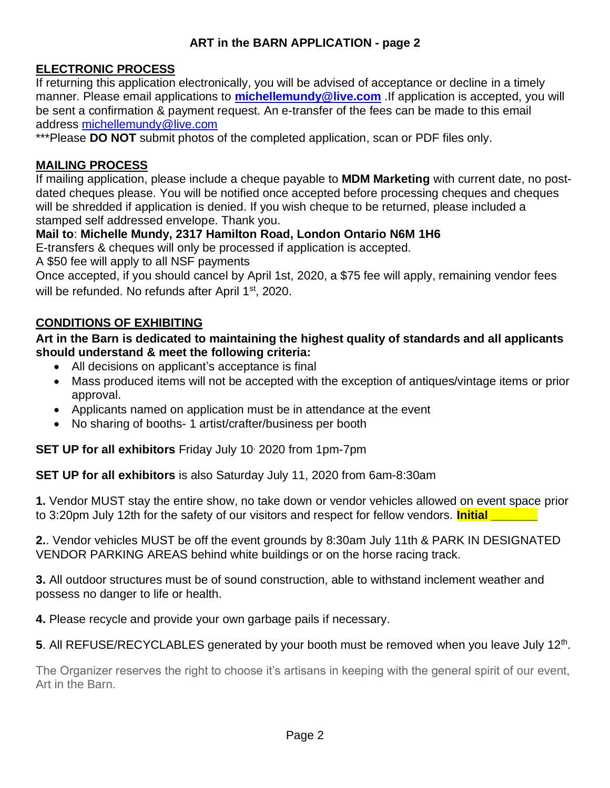# **ART in the BARN APPLICATION - page 2**

# **ELECTRONIC PROCESS**

If returning this application electronically, you will be advised of acceptance or decline in a timely manner. Please email applications to **[michellemundy@live.com](mailto:michellemundy@live.com)** .If application is accepted, you will be sent a confirmation & payment request. An e-transfer of the fees can be made to this email address [michellemundy@live.com](mailto:michellemundy@live.com)

\*\*\*Please **DO NOT** submit photos of the completed application, scan or PDF files only.

## **MAILING PROCESS**

If mailing application, please include a cheque payable to **MDM Marketing** with current date, no postdated cheques please. You will be notified once accepted before processing cheques and cheques will be shredded if application is denied. If you wish cheque to be returned, please included a stamped self addressed envelope. Thank you.

# **Mail to**: **Michelle Mundy, 2317 Hamilton Road, London Ontario N6M 1H6**

E-transfers & cheques will only be processed if application is accepted.

A \$50 fee will apply to all NSF payments

Once accepted, if you should cancel by April 1st, 2020, a \$75 fee will apply, remaining vendor fees will be refunded. No refunds after April 1<sup>st</sup>, 2020.

# **CONDITIONS OF EXHIBITING**

## **Art in the Barn is dedicated to maintaining the highest quality of standards and all applicants should understand & meet the following criteria:**

- All decisions on applicant's acceptance is final
- Mass produced items will not be accepted with the exception of antiques/vintage items or prior approval.
- Applicants named on application must be in attendance at the event
- No sharing of booths- 1 artist/crafter/business per booth

**SET UP for all exhibitors** Friday July 10, 2020 from 1pm-7pm

**SET UP for all exhibitors** is also Saturday July 11, 2020 from 6am-8:30am

**1.** Vendor MUST stay the entire show, no take down or vendor vehicles allowed on event space prior to 3:20pm July 12th for the safety of our visitors and respect for fellow vendors. **Initial** 

**2.**. Vendor vehicles MUST be off the event grounds by 8:30am July 11th & PARK IN DESIGNATED VENDOR PARKING AREAS behind white buildings or on the horse racing track.

**3.** All outdoor structures must be of sound construction, able to withstand inclement weather and possess no danger to life or health.

**4.** Please recycle and provide your own garbage pails if necessary.

# 5. All REFUSE/RECYCLABLES generated by your booth must be removed when you leave July 12<sup>th</sup>.

The Organizer reserves the right to choose it's artisans in keeping with the general spirit of our event, Art in the Barn.